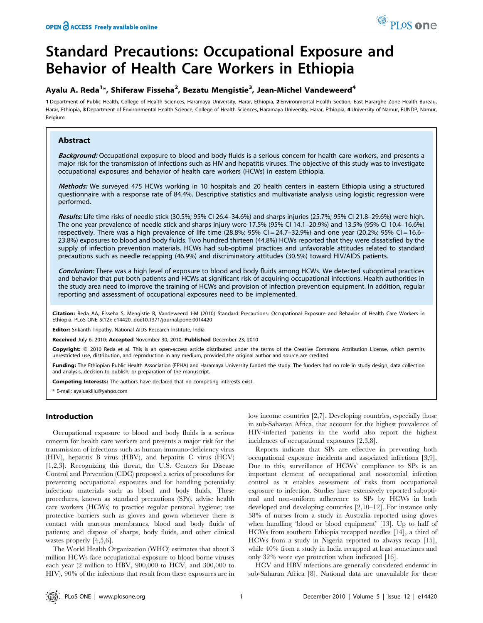# Standard Precautions: Occupational Exposure and Behavior of Health Care Workers in Ethiopia

# Ayalu A. Reda<sup>1</sup>\*, Shiferaw Fisseha<sup>2</sup>, Bezatu Mengistie<sup>3</sup>, Jean-Michel Vandeweerd<sup>4</sup>

1 Department of Public Health, College of Health Sciences, Haramaya University, Harar, Ethiopia, 2 Environmental Health Section, East Hararghe Zone Health Bureau, Harar, Ethiopia, 3 Department of Environmental Health Science, College of Health Sciences, Haramaya University, Harar, Ethiopia, 4 University of Namur, FUNDP, Namur, Belgium

# Abstract

Background: Occupational exposure to blood and body fluids is a serious concern for health care workers, and presents a major risk for the transmission of infections such as HIV and hepatitis viruses. The objective of this study was to investigate occupational exposures and behavior of health care workers (HCWs) in eastern Ethiopia.

Methods: We surveyed 475 HCWs working in 10 hospitals and 20 health centers in eastern Ethiopia using a structured questionnaire with a response rate of 84.4%. Descriptive statistics and multivariate analysis using logistic regression were performed.

Results: Life time risks of needle stick (30.5%; 95% CI 26.4–34.6%) and sharps injuries (25.7%; 95% CI 21.8–29.6%) were high. The one year prevalence of needle stick and sharps injury were 17.5% (95% CI 14.1–20.9%) and 13.5% (95% CI 10.4–16.6%) respectively. There was a high prevalence of life time  $(28.8\%; 95\% \text{ Cl} = 24.7-32.9\%)$  and one year  $(20.2\%; 95\% \text{ Cl} = 16.6-$ 23.8%) exposures to blood and body fluids. Two hundred thirteen (44.8%) HCWs reported that they were dissatisfied by the supply of infection prevention materials. HCWs had sub-optimal practices and unfavorable attitudes related to standard precautions such as needle recapping (46.9%) and discriminatory attitudes (30.5%) toward HIV/AIDS patients.

Conclusion: There was a high level of exposure to blood and body fluids among HCWs. We detected suboptimal practices and behavior that put both patients and HCWs at significant risk of acquiring occupational infections. Health authorities in the study area need to improve the training of HCWs and provision of infection prevention equipment. In addition, regular reporting and assessment of occupational exposures need to be implemented.

Citation: Reda AA, Fisseha S, Mengistie B, Vandeweerd J-M (2010) Standard Precautions: Occupational Exposure and Behavior of Health Care Workers in Ethiopia. PLoS ONE 5(12): e14420. doi:10.1371/journal.pone.0014420

Editor: Srikanth Tripathy, National AIDS Research Institute, India

Received July 6, 2010; Accepted November 30, 2010; Published December 23, 2010

Copyright: © 2010 Reda et al. This is an open-access article distributed under the terms of the Creative Commons Attribution License, which permits unrestricted use, distribution, and reproduction in any medium, provided the original author and source are credited.

Funding: The Ethiopian Public Health Association (EPHA) and Haramaya University funded the study. The funders had no role in study design, data collection and analysis, decision to publish, or preparation of the manuscript.

Competing Interests: The authors have declared that no competing interests exist.

\* E-mail: ayaluaklilu@yahoo.com

# Introduction

Occupational exposure to blood and body fluids is a serious concern for health care workers and presents a major risk for the transmission of infections such as human immuno-deficiency virus (HIV), hepatitis B virus (HBV), and hepatitis C virus (HCV) [1,2,3]. Recognizing this threat, the U.S. Centers for Disease Control and Prevention (CDC) proposed a series of procedures for preventing occupational exposures and for handling potentially infectious materials such as blood and body fluids. These procedures, known as standard precautions (SPs), advise health care workers (HCWs) to practice regular personal hygiene; use protective barriers such as gloves and gown whenever there is contact with mucous membranes, blood and body fluids of patients; and dispose of sharps, body fluids, and other clinical wastes properly [4,5,6].

The World Health Organization (WHO) estimates that about 3 million HCWs face occupational exposure to blood borne viruses each year (2 million to HBV, 900,000 to HCV, and 300,000 to HIV), 90% of the infections that result from these exposures are in

low income countries [2,7]. Developing countries, especially those in sub-Saharan Africa, that account for the highest prevalence of HIV-infected patients in the world also report the highest incidences of occupational exposures [2,3,8].

Reports indicate that SPs are effective in preventing both occupational exposure incidents and associated infections [3,9]. Due to this, surveillance of HCWs' compliance to SPs is an important element of occupational and nosocomial infection control as it enables assessment of risks from occupational exposure to infection. Studies have extensively reported suboptimal and non-uniform adherence to SPs by HCWs in both developed and developing countries [2,10–12]. For instance only 58% of nurses from a study in Australia reported using gloves when handling 'blood or blood equipment' [13]. Up to half of HCWs from southern Ethiopia recapped needles [14], a third of HCWs from a study in Nigeria reported to always recap [15], while 40% from a study in India recapped at least sometimes and only 32% wore eye protection when indicated [16].

HCV and HBV infections are generally considered endemic in sub-Saharan Africa [8]. National data are unavailable for these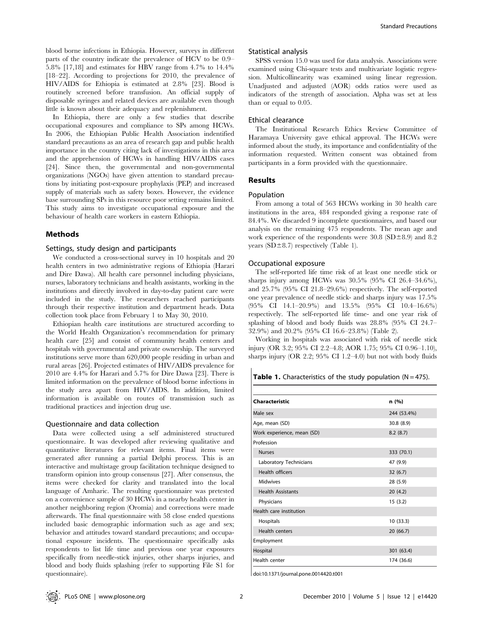blood borne infections in Ethiopia. However, surveys in different parts of the country indicate the prevalence of HCV to be 0.9– 5.8% [17,18] and estimates for HBV range from 4.7% to 14.4% [18–22]. According to projections for 2010, the prevalence of HIV/AIDS for Ethiopia is estimated at 2.8% [23]. Blood is routinely screened before transfusion. An official supply of disposable syringes and related devices are available even though little is known about their adequacy and replenishment.

In Ethiopia, there are only a few studies that describe occupational exposures and compliance to SPs among HCWs. In 2006, the Ethiopian Public Health Association indentified standard precautions as an area of research gap and public health importance in the country citing lack of investigations in this area and the apprehension of HCWs in handling HIV/AIDS cases [24]. Since then, the governmental and non-governmental organizations (NGOs) have given attention to standard precautions by initiating post-exposure prophylaxis (PEP) and increased supply of materials such as safety boxes. However, the evidence base surrounding SPs in this resource poor setting remains limited. This study aims to investigate occupational exposure and the behaviour of health care workers in eastern Ethiopia.

#### Methods

## Settings, study design and participants

We conducted a cross-sectional survey in 10 hospitals and 20 health centers in two administrative regions of Ethiopia (Harari and Dire Dawa). All health care personnel including physicians, nurses, laboratory technicians and health assistants, working in the institutions and directly involved in day-to-day patient care were included in the study. The researchers reached participants through their respective institution and department heads. Data collection took place from February 1 to May 30, 2010.

Ethiopian health care institutions are structured according to the World Health Organization's recommendation for primary health care [25] and consist of community health centers and hospitals with governmental and private ownership. The surveyed institutions serve more than 620,000 people residing in urban and rural areas [26]. Projected estimates of HIV/AIDS prevalence for 2010 are 4.4% for Harari and 5.7% for Dire Dawa [23]. There is limited information on the prevalence of blood borne infections in the study area apart from HIV/AIDS. In addition, limited information is available on routes of transmission such as traditional practices and injection drug use.

# Questionnaire and data collection

Data were collected using a self administered structured questionnaire. It was developed after reviewing qualitative and quantitative literatures for relevant items. Final items were generated after running a partial Delphi process. This is an interactive and multistage group facilitation technique designed to transform opinion into group consensus [27]. After consensus, the items were checked for clarity and translated into the local language of Amharic. The resulting questionnaire was pretested on a convenience sample of 30 HCWs in a nearby health center in another neighboring region (Oromia) and corrections were made afterwards. The final questionnaire with 58 close ended questions included basic demographic information such as age and sex; behavior and attitudes toward standard precautions; and occupational exposure incidents. The questionnaire specifically asks respondents to list life time and previous one year exposures specifically from needle-stick injuries, other sharps injuries, and blood and body fluids splashing (refer to supporting File S1 for questionnaire).

#### Statistical analysis

SPSS version 15.0 was used for data analysis. Associations were examined using Chi-square tests and multivariate logistic regression. Multicollinearity was examined using linear regression. Unadjusted and adjusted (AOR) odds ratios were used as indicators of the strength of association. Alpha was set at less than or equal to 0.05.

## Ethical clearance

The Institutional Research Ethics Review Committee of Haramaya University gave ethical approval. The HCWs were informed about the study, its importance and confidentiality of the information requested. Written consent was obtained from participants in a form provided with the questionnaire.

# Results

#### Population

From among a total of 563 HCWs working in 30 health care institutions in the area, 484 responded giving a response rate of 84.4%. We discarded 9 incomplete questionnaires, and based our analysis on the remaining 475 respondents. The mean age and work experience of the respondents were  $30.8$  (SD $\pm$ 8.9) and 8.2 years  $(SD \pm 8.7)$  respectively (Table 1).

#### Occupational exposure

The self-reported life time risk of at least one needle stick or sharps injury among HCWs was 30.5% (95% CI 26.4–34.6%), and 25.7% (95% CI 21.8–29.6%) respectively. The self-reported one year prevalence of needle stick- and sharps injury was 17.5% (95% CI 14.1–20.9%) and 13.5% (95% CI 10.4–16.6%) respectively. The self-reported life time- and one year risk of splashing of blood and body fluids was 28.8% (95% CI 24.7– 32.9%) and 20.2% (95% CI 16.6–23.8%) (Table 2).

Working in hospitals was associated with risk of needle stick injury (OR 3.2; 95% CI 2.2–4.8; AOR 1.75; 95% CI 0.96–1.10), sharps injury (OR 2.2; 95% CI 1.2–4.0) but not with body fluids

**Table 1.** Characteristics of the study population ( $N = 475$ ).

| Characteristic             |             |
|----------------------------|-------------|
|                            | n (%)       |
| Male sex                   | 244 (53.4%) |
| Age, mean (SD)             | 30.8 (8.9)  |
| Work experience, mean (SD) | 8.2(8.7)    |
| Profession                 |             |
| <b>Nurses</b>              | 333 (70.1)  |
| Laboratory Technicians     | 47 (9.9)    |
| Health officers            | 32(6.7)     |
| <b>Midwives</b>            | 28 (5.9)    |
| <b>Health Assistants</b>   | 20(4.2)     |
| Physicians                 | 15(3.2)     |
| Health care institution    |             |
| Hospitals                  | 10 (33.3)   |
| Health centers             | 20 (66.7)   |
| Employment                 |             |
| Hospital                   | 301 (63.4)  |
| Health center              | 174 (36.6)  |

doi:10.1371/journal.pone.0014420.t001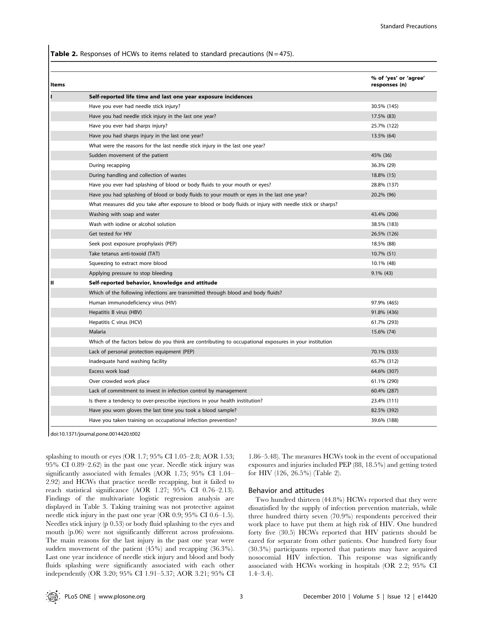**Table 2.** Responses of HCWs to items related to standard precautions ( $N = 475$ ).

| <b>Items</b> |                                                                                                          | % of 'yes' or 'agree'<br>responses (n) |
|--------------|----------------------------------------------------------------------------------------------------------|----------------------------------------|
|              | Self-reported life time and last one year exposure incidences                                            |                                        |
|              | Have you ever had needle stick injury?                                                                   | 30.5% (145)                            |
|              | Have you had needle stick injury in the last one year?                                                   | 17.5% (83)                             |
|              | Have you ever had sharps injury?                                                                         | 25.7% (122)                            |
|              | Have you had sharps injury in the last one year?                                                         | 13.5% (64)                             |
|              | What were the reasons for the last needle stick injury in the last one year?                             |                                        |
|              | Sudden movement of the patient                                                                           | 45% (36)                               |
|              | During recapping                                                                                         | 36.3% (29)                             |
|              | During handling and collection of wastes                                                                 | 18.8% (15)                             |
|              | Have you ever had splashing of blood or body fluids to your mouth or eyes?                               | 28.8% (137)                            |
|              | Have you had splashing of blood or body fluids to your mouth or eyes in the last one year?               | 20.2% (96)                             |
|              | What measures did you take after exposure to blood or body fluids or injury with needle stick or sharps? |                                        |
|              | Washing with soap and water                                                                              | 43.4% (206)                            |
|              | Wash with jodine or alcohol solution                                                                     | 38.5% (183)                            |
|              | Get tested for HIV                                                                                       | 26.5% (126)                            |
|              | Seek post exposure prophylaxis (PEP)                                                                     | 18.5% (88)                             |
|              | Take tetanus anti-toxoid (TAT)                                                                           | 10.7% (51)                             |
|              | Squeezing to extract more blood                                                                          | 10.1% (48)                             |
|              | Applying pressure to stop bleeding                                                                       | $9.1\%$ (43)                           |
| Ш            | Self-reported behavior, knowledge and attitude                                                           |                                        |
|              | Which of the following infections are transmitted through blood and body fluids?                         |                                        |
|              | Human immunodeficiency virus (HIV)                                                                       | 97.9% (465)                            |
|              | Hepatitis B virus (HBV)                                                                                  | 91.8% (436)                            |
|              | Hepatitis C virus (HCV)                                                                                  | 61.7% (293)                            |
|              | Malaria                                                                                                  | 15.6% (74)                             |
|              | Which of the factors below do you think are contributing to occupational exposures in your institution   |                                        |
|              | Lack of personal protection equipment (PEP)                                                              | 70.1% (333)                            |
|              | Inadequate hand washing facility                                                                         | 65.7% (312)                            |
|              | Excess work load                                                                                         | 64.6% (307)                            |
|              | Over crowded work place                                                                                  | 61.1% (290)                            |
|              | Lack of commitment to invest in infection control by management                                          | 60.4% (287)                            |
|              | Is there a tendency to over-prescribe injections in your health institution?                             | 23.4% (111)                            |
|              | Have you worn gloves the last time you took a blood sample?                                              | 82.5% (392)                            |
|              | Have you taken training on occupational infection prevention?                                            | 39.6% (188)                            |

doi:10.1371/journal.pone.0014420.t002

splashing to mouth or eyes (OR 1.7; 95% CI 1.05–2.8; AOR 1.53; 95% CI 0.89–2.62) in the past one year. Needle stick injury was significantly associated with females (AOR 1.75; 95% CI 1.04– 2.92) and HCWs that practice needle recapping, but it failed to reach statistical significance (AOR 1.27; 95% CI 0.76–2.13). Findings of the multivariate logistic regression analysis are displayed in Table 3. Taking training was not protective against needle stick injury in the past one year (OR 0.9; 95% CI 0.6–1.5). Needles stick injury (p 0.53) or body fluid splashing to the eyes and mouth (p.06) were not significantly different across professions. The main reasons for the last injury in the past one year were sudden movement of the patient (45%) and recapping (36.3%). Last one year incidence of needle stick injury and blood and body fluids splashing were significantly associated with each other independently (OR 3.20; 95% CI 1.91–5.37; AOR 3.21; 95% CI

1.86–5.48). The measures HCWs took in the event of occupational exposures and injuries included PEP (88, 18.5%) and getting tested for HIV (126, 26.5%) (Table 2).

# Behavior and attitudes

Two hundred thirteen (44.8%) HCWs reported that they were dissatisfied by the supply of infection prevention materials, while three hundred thirty seven (70.9%) respondents perceived their work place to have put them at high risk of HIV. One hundred forty five (30.5) HCWs reported that HIV patients should be cared for separate from other patients. One hundred forty four (30.3%) participants reported that patients may have acquired nosocomial HIV infection. This response was significantly associated with HCWs working in hospitals (OR 2.2; 95% CI 1.4–3.4).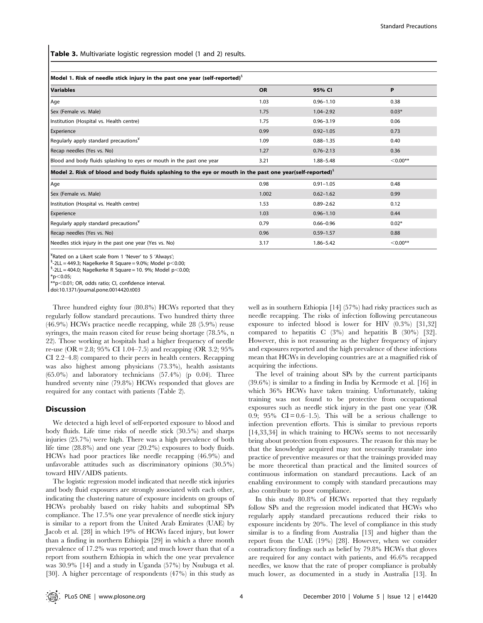Table 3. Multivariate logistic regression model (1 and 2) results.

| Model 1. Risk of needle stick injury in the past one year (self-reported) <sup>§</sup> |  |  |  |  |  |  |  |
|----------------------------------------------------------------------------------------|--|--|--|--|--|--|--|
|----------------------------------------------------------------------------------------|--|--|--|--|--|--|--|

| <b>Variables</b>                                                                                                      | <b>OR</b> | 95% CI        | P          |  |  |  |
|-----------------------------------------------------------------------------------------------------------------------|-----------|---------------|------------|--|--|--|
| Age                                                                                                                   | 1.03      | $0.96 - 1.10$ | 0.38       |  |  |  |
| Sex (Female vs. Male)                                                                                                 | 1.75      | $1.04 - 2.92$ | $0.03*$    |  |  |  |
| Institution (Hospital vs. Health centre)                                                                              | 1.75      | $0.96 - 3.19$ | 0.06       |  |  |  |
| Experience                                                                                                            | 0.99      | $0.92 - 1.05$ | 0.73       |  |  |  |
| Regularly apply standard precautions <sup>*</sup>                                                                     | 1.09      | $0.88 - 1.35$ | 0.40       |  |  |  |
| Recap needles (Yes vs. No)                                                                                            | 1.27      | $0.76 - 2.13$ | 0.36       |  |  |  |
| Blood and body fluids splashing to eyes or mouth in the past one year                                                 | 3.21      | $1.88 - 5.48$ | $<$ 0.00** |  |  |  |
| Model 2. Risk of blood and body fluids splashing to the eye or mouth in the past one year(self-reported) <sup>8</sup> |           |               |            |  |  |  |
|                                                                                                                       |           |               |            |  |  |  |
| Age                                                                                                                   | 0.98      | $0.91 - 1.05$ | 0.48       |  |  |  |
| Sex (Female vs. Male)                                                                                                 | 1.002     | $0.62 - 1.62$ | 0.99       |  |  |  |
| Institution (Hospital vs. Health centre)                                                                              | 1.53      | $0.89 - 2.62$ | 0.12       |  |  |  |
| Experience                                                                                                            | 1.03      | $0.96 - 1.10$ | 0.44       |  |  |  |
| Regularly apply standard precautions <sup>*</sup>                                                                     | 0.79      | $0.66 - 0.96$ | $0.02*$    |  |  |  |
| Recap needles (Yes vs. No)                                                                                            | 0.96      | $0.59 - 1.57$ | 0.88       |  |  |  |

¥ Rated on a Likert scale from 1 'Never' to 5 'Always';

 $10^{-5}$ -2LL = 449.3; Nagelkerke R Square = 9.0%; Model p < 0.00;

 $S = 2LL = 404.0$ ; Nagelkerke R Square = 10. 9%; Model p < 0.00;

 $*p<0.05$ ;

\*\*p,0.01; OR, odds ratio; CI, confidence interval.

doi:10.1371/journal.pone.0014420.t003

Three hundred eighty four (80.8%) HCWs reported that they regularly follow standard precautions. Two hundred thirty three (46.9%) HCWs practice needle recapping, while 28 (5.9%) reuse syringes, the main reason cited for reuse being shortage (78.5%, n 22). Those working at hospitals had a higher frequency of needle re-use (OR = 2.8; 95% CI 1.04–7.5) and recapping (OR 3.2; 95% CI 2.2–4.8) compared to their peers in health centers. Recapping was also highest among physicians (73.3%), health assistants  $(65.0\%)$  and laboratory technicians  $(57.4\%)$  (p 0.04). Three hundred seventy nine (79.8%) HCWs responded that gloves are required for any contact with patients (Table 2).

# Discussion

We detected a high level of self-reported exposure to blood and body fluids. Life time risks of needle stick (30.5%) and sharps injuries (25.7%) were high. There was a high prevalence of both life time (28.8%) and one year (20.2%) exposures to body fluids. HCWs had poor practices like needle recapping (46.9%) and unfavorable attitudes such as discriminatory opinions (30.5%) toward HIV/AIDS patients.

The logistic regression model indicated that needle stick injuries and body fluid exposures are strongly associated with each other, indicating the clustering nature of exposure incidents on groups of HCWs probably based on risky habits and suboptimal SPs compliance. The 17.5% one year prevalence of needle stick injury is similar to a report from the United Arab Emirates (UAE) by Jacob et al. [28] in which 19% of HCWs faced injury, but lower than a finding in northern Ethiopia [29] in which a three month prevalence of 17.2% was reported; and much lower than that of a report from southern Ethiopia in which the one year prevalence was 30.9% [14] and a study in Uganda (57%) by Nsubuga et al. [30]. A higher percentage of respondents (47%) in this study as well as in southern Ethiopia [14] (57%) had risky practices such as needle recapping. The risks of infection following percutaneous exposure to infected blood is lower for HIV (0.3%) [31,32] compared to hepatitis C (3%) and hepatitis B (30%) [32]. However, this is not reassuring as the higher frequency of injury and exposures reported and the high prevalence of these infections mean that HCWs in developing countries are at a magnified risk of acquiring the infections.

The level of training about SPs by the current participants (39.6%) is similar to a finding in India by Kermode et al. [16] in which 36% HCWs have taken training. Unfortunately, taking training was not found to be protective from occupational exposures such as needle stick injury in the past one year (OR 0.9; 95%  $CI = 0.6-1.5$ . This will be a serious challenge to infection prevention efforts. This is similar to previous reports [14,33,34] in which training to HCWs seems to not necessarily bring about protection from exposures. The reason for this may be that the knowledge acquired may not necessarily translate into practice of preventive measures or that the trainings provided may be more theoretical than practical and the limited sources of continuous information on standard precautions. Lack of an enabling environment to comply with standard precautions may also contribute to poor compliance.

In this study 80.8% of HCWs reported that they regularly follow SPs and the regression model indicated that HCWs who regularly apply standard precautions reduced their risks to exposure incidents by 20%. The level of compliance in this study similar is to a finding from Australia [13] and higher than the report from the UAE (19%) [28]. However, when we consider contradictory findings such as belief by 79.8% HCWs that gloves are required for any contact with patients, and 46.6% recapped needles, we know that the rate of proper compliance is probably much lower, as documented in a study in Australia [13]. In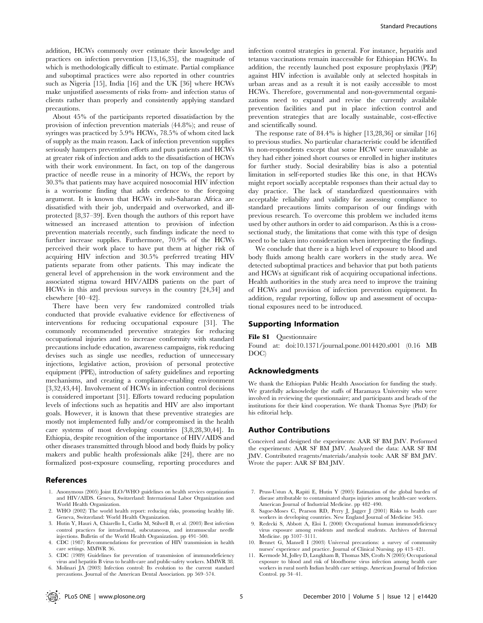addition, HCWs commonly over estimate their knowledge and practices on infection prevention [13,16,35], the magnitude of which is methodologically difficult to estimate. Partial compliance and suboptimal practices were also reported in other countries such as Nigeria [15], India [16] and the UK [36] where HCWs make unjustified assessments of risks from- and infection status of clients rather than properly and consistently applying standard precautions.

About 45% of the participants reported dissatisfaction by the provision of infection prevention materials (44.8%); and reuse of syringes was practiced by 5.9% HCWs, 78.5% of whom cited lack of supply as the main reason. Lack of infection prevention supplies seriously hampers prevention efforts and puts patients and HCWs at greater risk of infection and adds to the dissatisfaction of HCWs with their work environment. In fact, on top of the dangerous practice of needle reuse in a minority of HCWs, the report by 30.3% that patients may have acquired nosocomial HIV infection is a worrisome finding that adds credence to the foregoing argument. It is known that HCWs in sub-Saharan Africa are dissatisfied with their job, underpaid and overworked, and illprotected [8,37–39]. Even though the authors of this report have witnessed an increased attention to provision of infection prevention materials recently, such findings indicate the need to further increase supplies. Furthermore, 70.9% of the HCWs perceived their work place to have put them at higher risk of acquiring HIV infection and 30.5% preferred treating HIV patients separate from other patients. This may indicate the general level of apprehension in the work environment and the associated stigma toward HIV/AIDS patients on the part of HCWs in this and previous surveys in the country [24,34] and elsewhere [40–42].

There have been very few randomized controlled trials conducted that provide evaluative evidence for effectiveness of interventions for reducing occupational exposure [31]. The commonly recommended preventive strategies for reducing occupational injuries and to increase conformity with standard precautions include education, awareness campaigns, risk reducing devises such as single use needles, reduction of unnecessary injections, legislative action, provision of personal protective equipment (PPE), introduction of safety guidelines and reporting mechanisms, and creating a compliance-enabling environment [3,32,43,44]. Involvement of HCWs in infection control decisions is considered important [31]. Efforts toward reducing population levels of infections such as hepatitis and HIV are also important goals. However, it is known that these preventive strategies are mostly not implemented fully and/or compromised in the health care systems of most developing countries [3,8,28,30,44]. In Ethiopia, despite recognition of the importance of HIV/AIDS and other diseases transmitted through blood and body fluids by policy makers and public health professionals alike [24], there are no formalized post-exposure counseling, reporting procedures and

### References

- 1. Anonymous (2005) Joint ILO/WHO guidelines on health services organization and HIV/AIDS. Geneva, Switzerland: International Labor Organization and World Health Organization.
- 2. WHO (2002) The world health report: reducing risks, promoting healthy life. Geneva, Switzerland: World Health Organization.
- 3. Hutin Y, Hauri A, Chiarello L, Catlin M, Stilwell B, et al. (2003) Best infection control practices for intradermal, subcutaneous, and intramuscular needle injections. Bulletin of the World Health Organization. pp 491–500.
- 4. CDC (1987) Recommendations for prevention of HIV transmission in health care settings. MMWR 36.
- 5. CDC (1989) Guidelines for prevention of transmission of immunodeficiency virus and hepatitis B virus to health-care and public-safety workers. MMWR 38.
- 6. Molinari JA (2003) Infection control: Its evolution to the current standard precautions. Journal of the American Dental Association. pp 569–574.

infection control strategies in general. For instance, hepatitis and tetanus vaccinations remain inaccessible for Ethiopian HCWs. In addition, the recently launched post exposure prophylaxis (PEP) against HIV infection is available only at selected hospitals in urban areas and as a result it is not easily accessible to most HCWs. Therefore, governmental and non-governmental organizations need to expand and revise the currently available prevention facilities and put in place infection control and prevention strategies that are locally sustainable, cost-effective and scientifically sound.

The response rate of 84.4% is higher [13,28,36] or similar [16] to previous studies. No particular characteristic could be identified in non-respondents except that some HCW were unavailable as they had either joined short courses or enrolled in higher institutes for further study. Social desirability bias is also a potential limitation in self-reported studies like this one, in that HCWs might report socially acceptable responses than their actual day to day practice. The lack of standardized questionnaires with acceptable reliability and validity for assessing compliance to standard precautions limits comparison of our findings with previous research. To overcome this problem we included items used by other authors in order to aid comparison. As this is a crosssectional study, the limitations that come with this type of design need to be taken into consideration when interpreting the findings.

We conclude that there is a high level of exposure to blood and body fluids among health care workers in the study area. We detected suboptimal practices and behavior that put both patients and HCWs at significant risk of acquiring occupational infections. Health authorities in the study area need to improve the training of HCWs and provision of infection prevention equipment. In addition, regular reporting, follow up and assessment of occupational exposures need to be introduced.

#### Supporting Information

#### File S1 Questionnaire

Found at: doi:10.1371/journal.pone.0014420.s001 (0.16 MB DOC)

#### Acknowledgments

We thank the Ethiopian Public Health Association for funding the study. We gratefully acknowledge the staffs of Haramaya University who were involved in reviewing the questionnaire; and participants and heads of the institutions for their kind cooperation. We thank Thomas Syre (PhD) for his editorial help.

# Author Contributions

Conceived and designed the experiments: AAR SF BM JMV. Performed the experiments: AAR SF BM JMV. Analyzed the data: AAR SF BM JMV. Contributed reagents/materials/analysis tools: AAR SF BM JMV. Wrote the paper: AAR SF BM JMV.

- 7. Pruss-Ustun A, Rapiti E, Hutin Y (2005) Estimation of the global burden of disease attributable to contaminated sharps injuries among health-care workers. American Journal of Industrial Medicine. pp 482–490.
- 8. Sagoe-Moses C, Pearson RD, Perry J, Jagger J (2001) Risks to health care workers in developing countries. New England Journal of Medicine 345.
- 9. Redecki S, Abbott A, Eloi L (2000) Occupational human immunodeficiency virus exposure among residents and medical students. Archives of Internal Medicine. pp 3107–3111.
- 10. Bennet G, Mansell I (2003) Universal precautions: a survey of community nurses' experience and practice. Journal of Clinical Nursing. pp 413–421.
- 11. Kermode M, Jolley D, Langkham B, Thomas MS, Crofts N (2005) Occupational exposure to blood and risk of bloodborne virus infection among health care workers in rural north Indian health care settings. American Journal of Infection Control. pp 34–41.